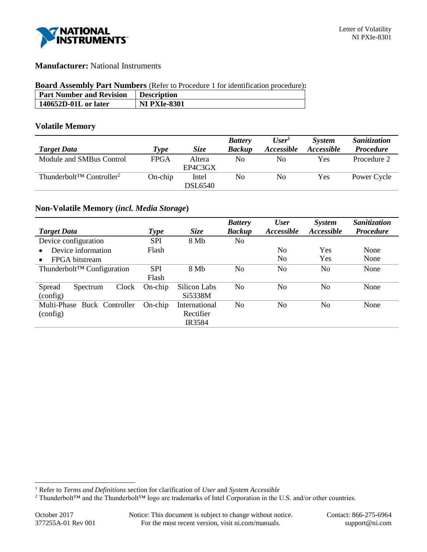

# **Manufacturer:** National Instruments

#### **Board Assembly Part Numbers** (Refer to Procedure 1 for identification procedure)**:**

| <b>Part Number and Revision</b> | <b>Description</b>  |
|---------------------------------|---------------------|
| 140652D-01L or later            | <b>NI PXIe-8301</b> |

# **Volatile Memory**

|                                                   |             |             | <b>Battery</b> | User <sup>1</sup> | <b>System</b> | <b>Sanitization</b> |
|---------------------------------------------------|-------------|-------------|----------------|-------------------|---------------|---------------------|
| <b>Target Data</b>                                | Type        | <i>Size</i> | <b>Backup</b>  | <i>Accessible</i> | Accessible    | <b>Procedure</b>    |
| Module and SMBus Control                          | <b>FPGA</b> | Altera      | No             | No                | Yes           | Procedure 2         |
|                                                   |             | EP4C3GX     |                |                   |               |                     |
| Thunderbolt <sup>TM</sup> Controller <sup>2</sup> | $On$ -chip  | Intel       | No             | No                | Yes           | Power Cycle         |
|                                                   |             | DSL6540     |                |                   |               |                     |

# **Non-Volatile Memory (***incl. Media Storage***)**

|                             |                    |               | <b>Battery</b> | <b>User</b>    | <i>System</i> | Sanitization     |
|-----------------------------|--------------------|---------------|----------------|----------------|---------------|------------------|
| <b>Target Data</b>          | <b>Type</b>        | <b>Size</b>   | <b>Backup</b>  | Accessible     | Accessible    | <b>Procedure</b> |
| Device configuration        | <b>SPI</b>         | 8 Mb          | No             |                |               |                  |
| Device information          | Flash              |               |                | No             | Yes           | None             |
| FPGA bitstream              |                    |               |                | N <sub>o</sub> | Yes           | None             |
| Thunderbolt™ Configuration  | <b>SPI</b>         | 8 Mb          | No             | No             | No            | None             |
|                             | Flash              |               |                |                |               |                  |
| Clock<br>Spread<br>Spectrum | $On$ -chip         | Silicon Labs  | No             | No             | No            | None             |
| (config)                    |                    | Si5338M       |                |                |               |                  |
| Multi-Phase Buck Controller | $On \text{-} chip$ | International | No             | N <sub>o</sub> | No            | None             |
| (config)                    |                    | Rectifier     |                |                |               |                  |
|                             |                    | <b>IR3584</b> |                |                |               |                  |

l

<sup>1</sup> Refer to *Terms and Definitions* section for clarification of *User* and *System Accessible*

<sup>2</sup> Thunderbolt™ and the Thunderbolt™ logo are trademarks of Intel Corporation in the U.S. and/or other countries.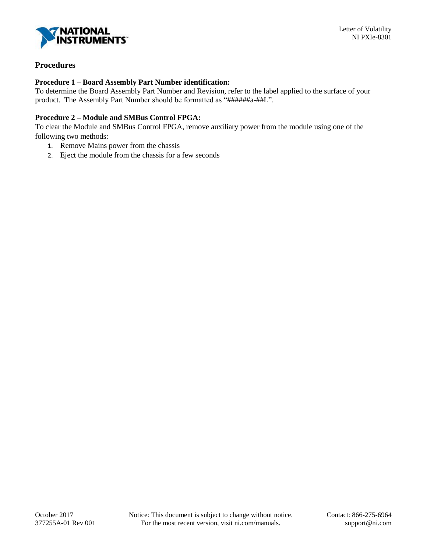

# **Procedures**

### **Procedure 1 – Board Assembly Part Number identification:**

To determine the Board Assembly Part Number and Revision, refer to the label applied to the surface of your product. The Assembly Part Number should be formatted as "######a-##L".

# **Procedure 2 – Module and SMBus Control FPGA:**

To clear the Module and SMBus Control FPGA, remove auxiliary power from the module using one of the following two methods:

- 1. Remove Mains power from the chassis
- 2. Eject the module from the chassis for a few seconds